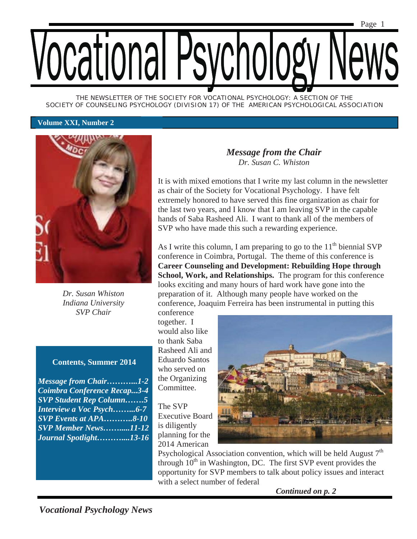*THE NEWSLETTER OF THE SOCIETY FOR VOCATIONAL PSYCHOLOGY: A SECTION OF THE SOCIETY OF COUNSELING PSYCHOLOGY (DIVISION 17) OF THE AMERICAN PSYCHOLOGICAL ASSOCIATION* 

#### **Volume XXI, Number 2**



*Dr. Susan Whiston Indiana University SVP Chair* 

### **Contents, Summer 2014**

*Message from Chair………...1-2 Coimbra Conference Recap...3-4 SVP Student Rep Column…….5 Interview a Voc Psych……...6-7 SVP Events at APA………..8-10 SVP Member News…….....11-12 Journal Spotlight………....13-16* 

## *Message from the Chair Dr. Susan C. Whiston*

It is with mixed emotions that I write my last column in the newsletter as chair of the Society for Vocational Psychology. I have felt extremely honored to have served this fine organization as chair for the last two years, and I know that I am leaving SVP in the capable hands of Saba Rasheed Ali. I want to thank all of the members of SVP who have made this such a rewarding experience.

As I write this column, I am preparing to go to the  $11<sup>th</sup>$  biennial SVP conference in Coimbra, Portugal. The theme of this conference is **Career Counseling and Development: Rebuilding Hope through School, Work, and Relationships.** The program for this conference looks exciting and many hours of hard work have gone into the preparation of it. Although many people have worked on the conference, Joaquim Ferreira has been instrumental in putting this

conference together. I would also like to thank Saba Rasheed Ali and Eduardo Santos who served on the Organizing Committee.

The SVP Executive Board is diligently planning for the 2014 American



Psychological Association convention, which will be held August  $7<sup>th</sup>$ through  $10<sup>th</sup>$  in Washington, DC. The first SVP event provides the opportunity for SVP members to talk about policy issues and interact with a select number of federal

*Continued on p. 2*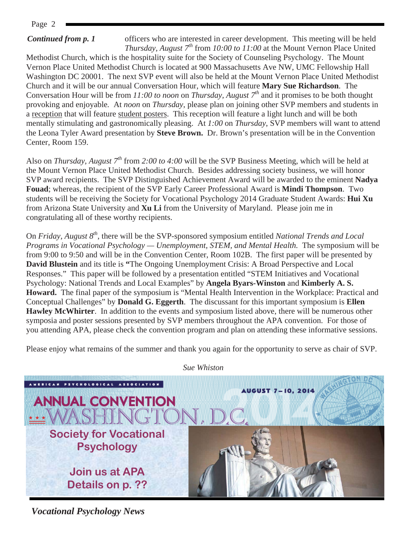Page 2

### *Continued from p. 1*

officers who are interested in career development. This meeting will be held *Thursday, August*  $7^{th}$  from *10:00 to 11:00* at the Mount Vernon Place United Methodist Church, which is the hospitality suite for the Society of Counseling Psychology. The Mount Vernon Place United Methodist Church is located at 900 Massachusetts Ave NW, UMC Fellowship Hall Washington DC 20001. The next SVP event will also be held at the Mount Vernon Place United Methodist Church and it will be our annual Conversation Hour, which will feature **Mary Sue Richardson**. The Conversation Hour will be from *11:00 to noon* on *Thursday, August 7th* and it promises to be both thought provoking and enjoyable*.* At *noon* on *Thursday*, please plan on joining other SVP members and students in a reception that will feature student posters. This reception will feature a light lunch and will be both mentally stimulating and gastronomically pleasing. At *1:00* on *Thursday*, SVP members will want to attend the Leona Tyler Award presentation by **Steve Brown.** Dr. Brown's presentation will be in the Convention Center, Room 159.

Also on *Thursday, August 7th* from *2:00 to 4:00* will be the SVP Business Meeting, which will be held at the Mount Vernon Place United Methodist Church. Besides addressing society business, we will honor SVP award recipients. The SVP Distinguished Achievement Award will be awarded to the eminent **Nadya Fouad**; whereas, the recipient of the SVP Early Career Professional Award is **Mindi Thompson**. Two students will be receiving the Society for Vocational Psychology 2014 Graduate Student Awards: **Hui Xu** from Arizona State University and **Xu Li** from the University of Maryland. Please join me in congratulating all of these worthy recipients.

On *Friday, August 8th*, there will be the SVP-sponsored symposium entitled *National Trends and Local Programs in Vocational Psychology — Unemployment, STEM, and Mental Health.* The symposium will be from 9:00 to 9:50 and will be in the Convention Center, Room 102B. The first paper will be presented by **David Blustein** and its title is **"**The Ongoing Unemployment Crisis: A Broad Perspective and Local Responses." This paper will be followed by a presentation entitled "STEM Initiatives and Vocational Psychology: National Trends and Local Examples" by **Angela Byars-Winston** and **Kimberly A. S. Howard.** The final paper of the symposium is "Mental Health Intervention in the Workplace: Practical and Conceptual Challenges" by **Donald G. Eggerth**. The discussant for this important symposium is **Ellen Hawley McWhirter**. In addition to the events and symposium listed above, there will be numerous other symposia and poster sessions presented by SVP members throughout the APA convention. For those of you attending APA, please check the convention program and plan on attending these informative sessions.

Please enjoy what remains of the summer and thank you again for the opportunity to serve as chair of SVP.



*Sue Whiston*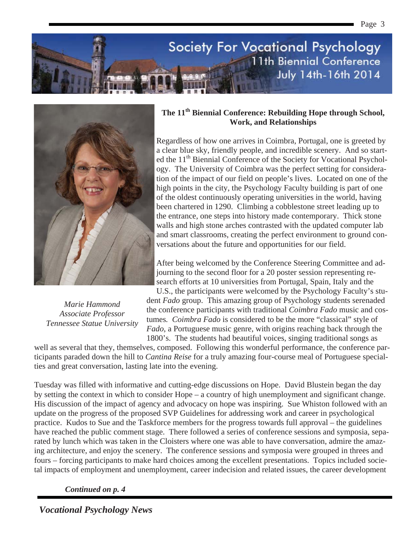



*Marie Hammond Associate Professor Tennessee Statue University* 

### The 11<sup>th</sup> Biennial Conference: Rebuilding Hope through School, **Work, and Relationships**

Page 3

Regardless of how one arrives in Coimbra, Portugal, one is greeted by a clear blue sky, friendly people, and incredible scenery. And so started the 11<sup>th</sup> Biennial Conference of the Society for Vocational Psychology. The University of Coimbra was the perfect setting for consideration of the impact of our field on people's lives. Located on one of the high points in the city, the Psychology Faculty building is part of one of the oldest continuously operating universities in the world, having been chartered in 1290. Climbing a cobblestone street leading up to the entrance, one steps into history made contemporary. Thick stone walls and high stone arches contrasted with the updated computer lab and smart classrooms, creating the perfect environment to ground conversations about the future and opportunities for our field.

After being welcomed by the Conference Steering Committee and adjourning to the second floor for a 20 poster session representing research efforts at 10 universities from Portugal, Spain, Italy and the

U.S., the participants were welcomed by the Psychology Faculty's student *Fado* group. This amazing group of Psychology students serenaded the conference participants with traditional *Coimbra Fado* music and costumes*. Coimbra Fado* is considered to be the more "classical" style of *Fado*, a Portuguese music genre, with origins reaching back through the 1800's. The students had beautiful voices, singing traditional songs as

well as several that they, themselves, composed. Following this wonderful performance, the conference participants paraded down the hill to *Cantina Reise* for a truly amazing four-course meal of Portuguese specialties and great conversation, lasting late into the evening.

Tuesday was filled with informative and cutting-edge discussions on Hope. David Blustein began the day by setting the context in which to consider Hope – a country of high unemployment and significant change. His discussion of the impact of agency and advocacy on hope was inspiring. Sue Whiston followed with an update on the progress of the proposed SVP Guidelines for addressing work and career in psychological practice. Kudos to Sue and the Taskforce members for the progress towards full approval – the guidelines have reached the public comment stage. There followed a series of conference sessions and symposia, separated by lunch which was taken in the Cloisters where one was able to have conversation, admire the amazing architecture, and enjoy the scenery. The conference sessions and symposia were grouped in threes and fours – forcing participants to make hard choices among the excellent presentations. Topics included societal impacts of employment and unemployment, career indecision and related issues, the career development

*Continued on p. 4*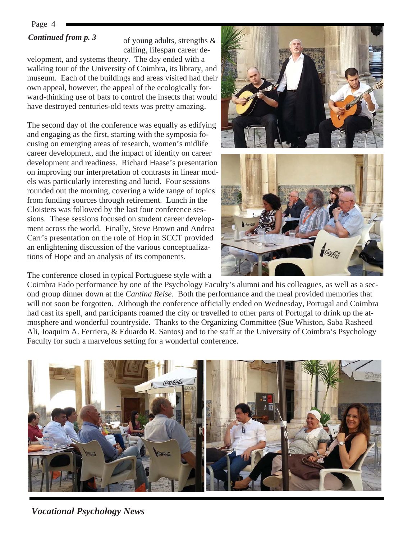# *Continued from p. 3*

of young adults, strengths & calling, lifespan career de-

velopment, and systems theory. The day ended with a walking tour of the University of Coimbra, its library, and museum. Each of the buildings and areas visited had their own appeal, however, the appeal of the ecologically forward-thinking use of bats to control the insects that would have destroyed centuries-old texts was pretty amazing.

The second day of the conference was equally as edifying and engaging as the first, starting with the symposia focusing on emerging areas of research, women's midlife career development, and the impact of identity on career development and readiness. Richard Haase's presentation on improving our interpretation of contrasts in linear models was particularly interesting and lucid. Four sessions rounded out the morning, covering a wide range of topics from funding sources through retirement. Lunch in the Cloisters was followed by the last four conference sessions. These sessions focused on student career development across the world. Finally, Steve Brown and Andrea Carr's presentation on the role of Hop in SCCT provided an enlightening discussion of the various conceptualizations of Hope and an analysis of its components.

The conference closed in typical Portuguese style with a

Coimbra Fado performance by one of the Psychology Faculty's alumni and his colleagues, as well as a second group dinner down at the *Cantina Reise*. Both the performance and the meal provided memories that will not soon be forgotten. Although the conference officially ended on Wednesday, Portugal and Coimbra had cast its spell, and participants roamed the city or travelled to other parts of Portugal to drink up the atmosphere and wonderful countryside. Thanks to the Organizing Committee (Sue Whiston, Saba Rasheed Ali, Joaquim A. Ferriera, & Eduardo R. Santos) and to the staff at the University of Coimbra's Psychology Faculty for such a marvelous setting for a wonderful conference.



*Vocational Psychology News* 

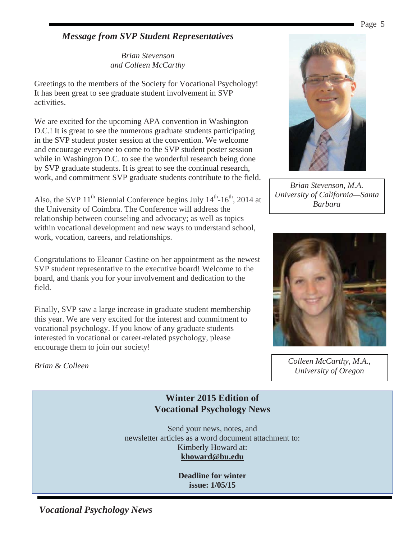# *Message from SVP Student Representatives*

*Brian Stevenson and Colleen McCarthy* 

Greetings to the members of the Society for Vocational Psychology! It has been great to see graduate student involvement in SVP activities.

We are excited for the upcoming APA convention in Washington D.C.! It is great to see the numerous graduate students participating in the SVP student poster session at the convention. We welcome and encourage everyone to come to the SVP student poster session while in Washington D.C. to see the wonderful research being done by SVP graduate students. It is great to see the continual research, work, and commitment SVP graduate students contribute to the field.

Also, the SVP  $11<sup>th</sup>$  Biennial Conference begins July  $14<sup>th</sup>$ -16<sup>th</sup>, 2014 at the University of Coimbra. The Conference will address the relationship between counseling and advocacy; as well as topics within vocational development and new ways to understand school, work, vocation, careers, and relationships.

Congratulations to Eleanor Castine on her appointment as the newest SVP student representative to the executive board! Welcome to the board, and thank you for your involvement and dedication to the field.

Finally, SVP saw a large increase in graduate student membership this year. We are very excited for the interest and commitment to vocational psychology. If you know of any graduate students interested in vocational or career-related psychology, please encourage them to join our society!



# **Winter 2015 Edition of Vocational Psychology News**

Send your news, notes, and newsletter articles as a word document attachment to: Kimberly Howard at: **khoward@bu.edu** 

> **Deadline for winter issue: 1/05/15**



*Brian Stevenson, M.A. University of California—Santa Barbara*



*Colleen McCarthy, M.A., University of Oregon*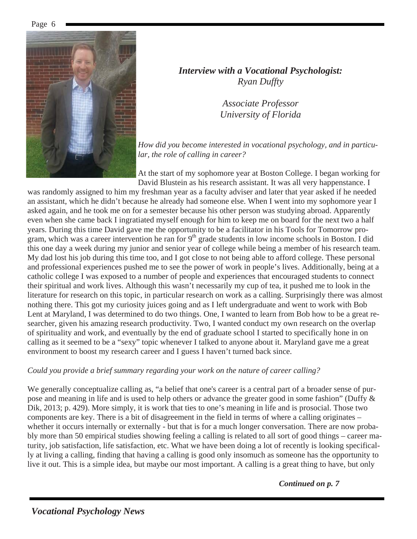

*Interview with a Vocational Psychologist: Ryan Duffty* 

> *Associate Professor University of Florida*

*How did you become interested in vocational psychology, and in particular, the role of calling in career?* 

At the start of my sophomore year at Boston College. I began working for David Blustein as his research assistant. It was all very happenstance. I

was randomly assigned to him my freshman year as a faculty adviser and later that year asked if he needed an assistant, which he didn't because he already had someone else. When I went into my sophomore year I asked again, and he took me on for a semester because his other person was studying abroad. Apparently even when she came back I ingratiated myself enough for him to keep me on board for the next two a half years. During this time David gave me the opportunity to be a facilitator in his Tools for Tomorrow program, which was a career intervention he ran for  $9<sup>th</sup>$  grade students in low income schools in Boston. I did this one day a week during my junior and senior year of college while being a member of his research team. My dad lost his job during this time too, and I got close to not being able to afford college. These personal and professional experiences pushed me to see the power of work in people's lives. Additionally, being at a catholic college I was exposed to a number of people and experiences that encouraged students to connect their spiritual and work lives. Although this wasn't necessarily my cup of tea, it pushed me to look in the literature for research on this topic, in particular research on work as a calling. Surprisingly there was almost nothing there. This got my curiosity juices going and as I left undergraduate and went to work with Bob Lent at Maryland, I was determined to do two things. One, I wanted to learn from Bob how to be a great researcher, given his amazing research productivity. Two, I wanted conduct my own research on the overlap of spirituality and work, and eventually by the end of graduate school I started to specifically hone in on calling as it seemed to be a "sexy" topic whenever I talked to anyone about it. Maryland gave me a great environment to boost my research career and I guess I haven't turned back since.

### *Could you provide a brief summary regarding your work on the nature of career calling?*

We generally conceptualize calling as, "a belief that one's career is a central part of a broader sense of purpose and meaning in life and is used to help others or advance the greater good in some fashion" (Duffy & Dik, 2013; p. 429). More simply, it is work that ties to one's meaning in life and is prosocial. Those two components are key. There is a bit of disagreement in the field in terms of where a calling originates – whether it occurs internally or externally - but that is for a much longer conversation. There are now probably more than 50 empirical studies showing feeling a calling is related to all sort of good things – career maturity, job satisfaction, life satisfaction, etc. What we have been doing a lot of recently is looking specifically at living a calling, finding that having a calling is good only insomuch as someone has the opportunity to live it out. This is a simple idea, but maybe our most important. A calling is a great thing to have, but only

*Continued on p. 7*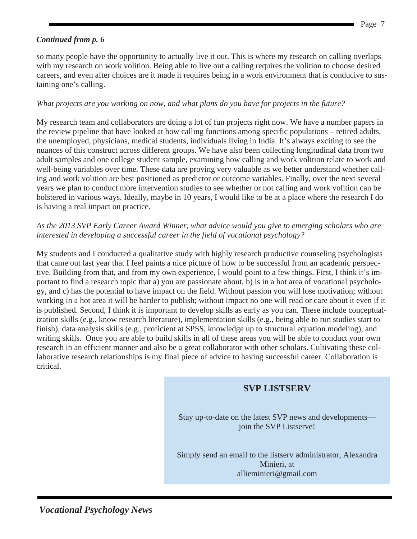## *Continued from p. 6*

so many people have the opportunity to actually live it out. This is where my research on calling overlaps with my research on work volition. Being able to live out a calling requires the volition to choose desired careers, and even after choices are it made it requires being in a work environment that is conducive to sustaining one's calling.

### *What projects are you working on now, and what plans do you have for projects in the future?*

My research team and collaborators are doing a lot of fun projects right now. We have a number papers in the review pipeline that have looked at how calling functions among specific populations – retired adults, the unemployed, physicians, medical students, individuals living in India. It's always exciting to see the nuances of this construct across different groups. We have also been collecting longitudinal data from two adult samples and one college student sample, examining how calling and work volition relate to work and well-being variables over time. These data are proving very valuable as we better understand whether calling and work volition are best positioned as predictor or outcome variables. Finally, over the next several years we plan to conduct more intervention studies to see whether or not calling and work volition can be bolstered in various ways. Ideally, maybe in 10 years, I would like to be at a place where the research I do is having a real impact on practice.

### *As the 2013 SVP Early Career Award Winner, what advice would you give to emerging scholars who are interested in developing a successful career in the field of vocational psychology?*

My students and I conducted a qualitative study with highly research productive counseling psychologists that came out last year that I feel paints a nice picture of how to be successful from an academic perspective. Building from that, and from my own experience, I would point to a few things. First, I think it's important to find a research topic that a) you are passionate about, b) is in a hot area of vocational psychology, and c) has the potential to have impact on the field. Without passion you will lose motivation; without working in a hot area it will be harder to publish; without impact no one will read or care about it even if it is published. Second, I think it is important to develop skills as early as you can. These include conceptualization skills (e.g., know research literature), implementation skills (e.g., being able to run studies start to finish), data analysis skills (e.g., proficient at SPSS, knowledge up to structural equation modeling), and writing skills. Once you are able to build skills in all of these areas you will be able to conduct your own research in an efficient manner and also be a great collaborator with other scholars. Cultivating these collaborative research relationships is my final piece of advice to having successful career. Collaboration is critical.

# **SVP LISTSERV**

Stay up-to-date on the latest SVP news and developments join the SVP Listserve!

Simply send an email to the listserv administrator, Alexandra Minieri, at allieminieri@gmail.com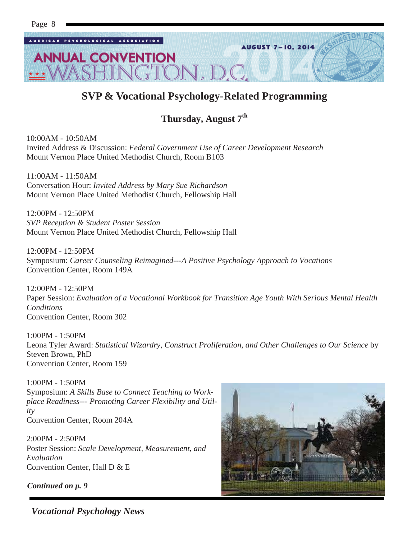

# **SVP & Vocational Psychology-Related Programming**

# **Thursday, August 7th**

10:00AM - 10:50AM Invited Address & Discussion: *Federal Government Use of Career Development Research* Mount Vernon Place United Methodist Church, Room B103

11:00AM - 11:50AM Conversation Hour: *Invited Address by Mary Sue Richardson*  Mount Vernon Place United Methodist Church, Fellowship Hall

12:00PM - 12:50PM *SVP Reception & Student Poster Session*  Mount Vernon Place United Methodist Church, Fellowship Hall

12:00PM - 12:50PM Symposium: *Career Counseling Reimagined---A Positive Psychology Approach to Vocations*  Convention Center, Room 149A

12:00PM - 12:50PM Paper Session: *Evaluation of a Vocational Workbook for Transition Age Youth With Serious Mental Health Conditions* Convention Center, Room 302

1:00PM - 1:50PM Leona Tyler Award: *Statistical Wizardry, Construct Proliferation, and Other Challenges to Our Science* by Steven Brown, PhD Convention Center, Room 159

1:00PM - 1:50PM Symposium: *A Skills Base to Connect Teaching to Workplace Readiness--- Promoting Career Flexibility and Utility* Convention Center, Room 204A

2:00PM - 2:50PM Poster Session: *Scale Development, Measurement, and Evaluation* Convention Center, Hall D & E

*Continued on p. 9* 

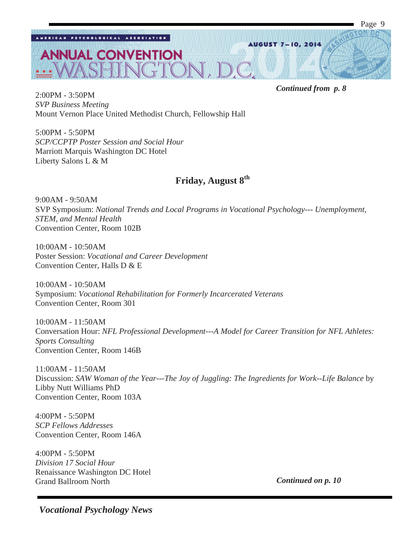

2:00PM - 3:50PM *SVP Business Meeting*  Mount Vernon Place United Methodist Church, Fellowship Hall

5:00PM - 5:50PM *SCP/CCPTP Poster Session and Social Hour*  Marriott Marquis Washington DC Hotel Liberty Salons L & M

# **Friday, August 8th**

9:00AM - 9:50AM SVP Symposium: *National Trends and Local Programs in Vocational Psychology--- Unemployment, STEM, and Mental Health* Convention Center, Room 102B

10:00AM - 10:50AM Poster Session: *Vocational and Career Development* Convention Center, Halls D & E

10:00AM - 10:50AM Symposium: *Vocational Rehabilitation for Formerly Incarcerated Veterans* Convention Center, Room 301

10:00AM - 11:50AM Conversation Hour: *NFL Professional Development---A Model for Career Transition for NFL Athletes: Sports Consulting* Convention Center, Room 146B

11:00AM - 11:50AM Discussion: *SAW Woman of the Year---The Joy of Juggling: The Ingredients for Work--Life Balance* by Libby Nutt Williams PhD Convention Center, Room 103A

4:00PM - 5:50PM *SCP Fellows Addresses*  Convention Center, Room 146A

4:00PM - 5:50PM *Division 17 Social Hour*  Renaissance Washington DC Hotel Grand Ballroom North

*Continued on p. 10*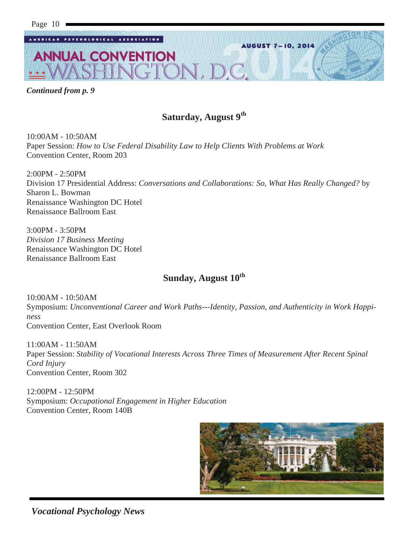

*Continued from p. 9* 

# **Saturday, August 9th**

10:00AM - 10:50AM Paper Session: *How to Use Federal Disability Law to Help Clients With Problems at Work* Convention Center, Room 203

2:00PM - 2:50PM Division 17 Presidential Address: *Conversations and Collaborations: So, What Has Really Changed?* by Sharon L. Bowman Renaissance Washington DC Hotel Renaissance Ballroom East

3:00PM - 3:50PM *Division 17 Business Meeting*  Renaissance Washington DC Hotel Renaissance Ballroom East

# **Sunday, August 10th**

10:00AM - 10:50AM Symposium: *Unconventional Career and Work Paths---Identity, Passion, and Authenticity in Work Happiness* Convention Center, East Overlook Room

11:00AM - 11:50AM Paper Session: *Stability of Vocational Interests Across Three Times of Measurement After Recent Spinal Cord Injury* Convention Center, Room 302

12:00PM - 12:50PM Symposium: *Occupational Engagement in Higher Education* Convention Center, Room 140B

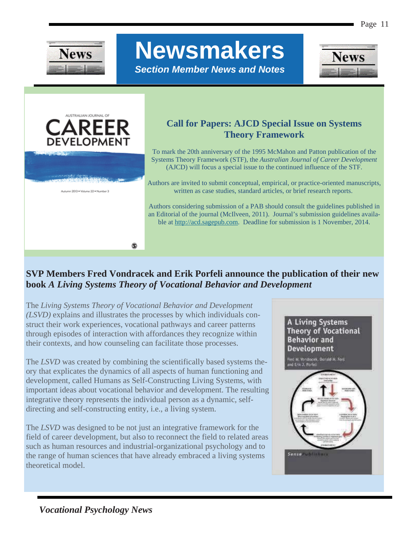

# **Newsmakers**

*Section Member News and Notes* 





# **Call for Papers: AJCD Special Issue on Systems Theory Framework**

To mark the 20th anniversary of the 1995 McMahon and Patton publication of the Systems Theory Framework (STF), the *Australian Journal of Career Development* (AJCD) will focus a special issue to the continued influence of the STF.

Authors are invited to submit conceptual, empirical, or practice-oriented manuscripts, written as case studies, standard articles, or brief research reports.

Authors considering submission of a PAB should consult the guidelines published in an Editorial of the journal (McIlveen, 2011). Journal's submission guidelines available at http://acd.sagepub.com. Deadline for submission is 1 November, 2014.

# **SVP Members Fred Vondracek and Erik Porfeli announce the publication of their new book** *A Living Systems Theory of Vocational Behavior and Development*

The *Living Systems Theory of Vocational Behavior and Development (LSVD)* explains and illustrates the processes by which individuals construct their work experiences, vocational pathways and career patterns through episodes of interaction with affordances they recognize within their contexts, and how counseling can facilitate those processes.

۵

The *LSVD* was created by combining the scientifically based systems theory that explicates the dynamics of all aspects of human functioning and development, called Humans as Self-Constructing Living Systems, with important ideas about vocational behavior and development. The resulting integrative theory represents the individual person as a dynamic, selfdirecting and self-constructing entity, i.e., a living system.

The *LSVD* was designed to be not just an integrative framework for the field of career development, but also to reconnect the field to related areas such as human resources and industrial-organizational psychology and to the range of human sciences that have already embraced a living systems theoretical model.

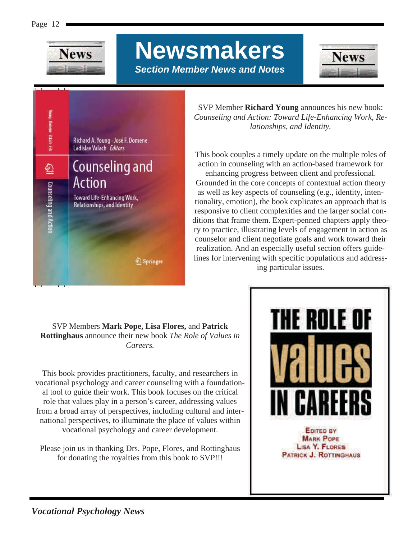

**Newsmakers**  *Section Member News and Notes* 





SVP Member **Richard Young** announces his new book: *Counseling and Action: Toward Life-Enhancing Work, Relationships, and Identity.* 

This book couples a timely update on the multiple roles of action in counseling with an action-based framework for enhancing progress between client and professional.

Grounded in the core concepts of contextual action theory as well as key aspects of counseling (e.g., identity, intentionality, emotion), the book explicates an approach that is responsive to client complexities and the larger social conditions that frame them. Expert-penned chapters apply theory to practice, illustrating levels of engagement in action as counselor and client negotiate goals and work toward their realization. And an especially useful section offers guidelines for intervening with specific populations and addressing particular issues.

### SVP Members **Mark Pope, Lisa Flores,** and **Patrick Rottinghaus** announce their new book *The Role of Values in Careers.*

This book provides practitioners, faculty, and researchers in vocational psychology and career counseling with a foundational tool to guide their work. This book focuses on the critical role that values play in a person's career, addressing values from a broad array of perspectives, including cultural and international perspectives, to illuminate the place of values within vocational psychology and career development.

Please join us in thanking Drs. Pope, Flores, and Rottinghaus for donating the royalties from this book to SVP!!!

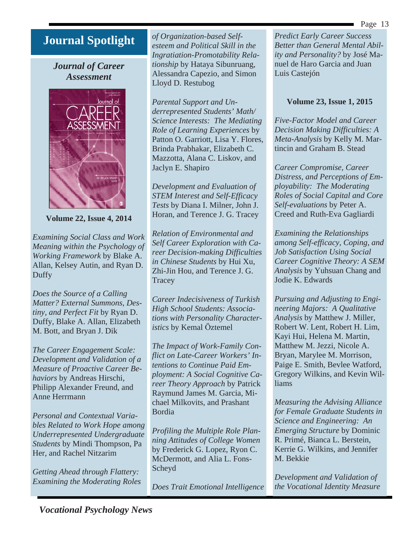Page 13

# **Journal Spotlight**

*Journal of Career Assessment* 



**Volume 22, Issue 4, 2014** 

*Examining Social Class and Work Meaning within the Psychology of Working Framework* by Blake A. Allan, Kelsey Autin, and Ryan D. Duffy

*Does the Source of a Calling Matter? External Summons, Destiny, and Perfect Fit* by Ryan D. Duffy, Blake A. Allan, Elizabeth M. Bott, and Bryan J. Dik

*The Career Engagement Scale: Development and Validation of a Measure of Proactive Career Behaviors* by Andreas Hirschi, Philipp Alexander Freund, and Anne Herrmann

*Personal and Contextual Variables Related to Work Hope among Underrepresented Undergraduate Students* by Mindi Thompson, Pa Her, and Rachel Nitzarim

*Getting Ahead through Flattery: Examining the Moderating Roles*  *of Organization-based Selfesteem and Political Skill in the Ingratiation-Promotability Relationship* by Hataya Sibunruang, Alessandra Capezio, and Simon Lloyd D. Restubog

*Parental Support and Underrepresented Students' Math/ Science Interests: The Mediating Role of Learning Experiences* by Patton O. Garriott, Lisa Y. Flores, Brinda Prabhakar, Elizabeth C. Mazzotta, Alana C. Liskov, and Jaclyn E. Shapiro

*Development and Evaluation of STEM Interest and Self-Efficacy Tests* by Diana I. Milner, John J. Horan, and Terence J. G. Tracey

*Relation of Environmental and Self Career Exploration with Career Decision-making Difficulties in Chinese Students* by Hui Xu, Zhi-Jin Hou, and Terence J. G. **Tracey** 

*Career Indecisiveness of Turkish High School Students: Associations with Personality Characteristics* by Kemal Öztemel

*The Impact of Work-Family Conflict on Late-Career Workers' Intentions to Continue Paid Employment: A Social Cognitive Career Theory Approach* by Patrick Raymund James M. Garcia, Michael Milkovits, and Prashant Bordia

*Profiling the Multiple Role Planning Attitudes of College Women*  by Frederick G. Lopez, Ryon C. McDermott, and Alia L. Fons-Scheyd

*Does Trait Emotional Intelligence* 

*Predict Early Career Success Better than General Mental Ability and Personality?* by José Manuel de Haro Garcia and Juan Luis Castejón

# **Volume 23, Issue 1, 2015**

*Five-Factor Model and Career Decision Making Difficulties: A Meta-Analysis* by Kelly M. Martincin and Graham B. Stead

*Career Compromise, Career Distress, and Perceptions of Employability: The Moderating Roles of Social Capital and Core Self-evaluations* by Peter A. Creed and Ruth-Eva Gagliardi

*Examining the Relationships among Self-efficacy, Coping, and Job Satisfaction Using Social Career Cognitive Theory: A SEM Analysis* by Yuhsuan Chang and Jodie K. Edwards

*Pursuing and Adjusting to Engineering Majors: A Qualitative Analysis* by Matthew J. Miller, Robert W. Lent, Robert H. Lim, Kayi Hui, Helena M. Martin, Matthew M. Jezzi, Nicole A. Bryan, Marylee M. Morrison, Paige E. Smith, Bevlee Watford, Gregory Wilkins, and Kevin Williams

*Measuring the Advising Alliance for Female Graduate Students in Science and Engineering: An Emerging Structure* by Dominic R. Primé, Bianca L. Berstein, Kerrie G. Wilkins, and Jennifer M. Bekkie

*Development and Validation of the Vocational Identity Measure*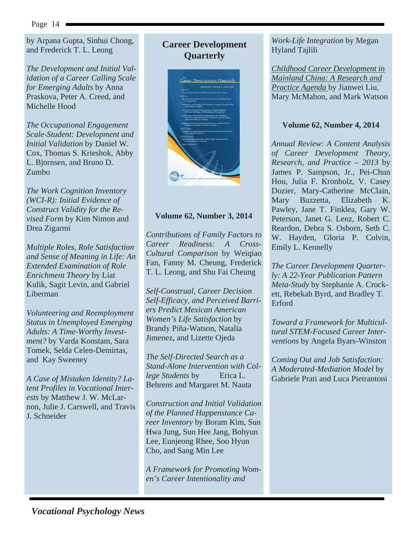by Arpana Gupta, Sinhui Chong, and Frederick T. L. Leong

*The Development and Initial Validation of a Career Calling Scale for Emerging Adults* by Anna Praskova, Peter A. Creed, and Michelle Hood

*The Occupational Engagement Scale-Student: Development and Initial Validation* by Daniel W. Cox, Thomas S. Krieshok, Abby L. Bjornsen, and Bruno D. Zumbo

*The Work Cognition Inventory (WCI-R): Initial Evidence of Construct Validity for the Revised Form* by Kim Nimon and Drea Zigarmi

*Multiple Roles, Role Satisfaction and Sense of Meaning in Life: An Extended Examination of Role Enrichment Theory* by Liat Kulik, Sagit Levin, and Gabriel Liberman

*Volunteering and Reemployment Status in Unemployed Emerging Adults: A Time-Worthy Investment?* by Varda Konstam, Sara Tomek, Selda Celen-Demirtas, and Kay Sweeney

*A Case of Mistaken Identity? Latent Profiles in Vocational Interests* by Matthew J. W. McLarnon, Julie J. Carswell, and Travis J. Schneider

# **Career Development Quarterly**



### **Volume 62, Number 3, 2014**

*Contributions of Family Factors to Career Readiness: A Cross-Cultural Comparison* by Weiqiao Fan, Fanny M. Cheung, Frederick T. L. Leong, and Shu Fai Cheung

*Self-Construal, Career Decision Self-Efficacy, and Perceived Barriers Predict Mexican American Women's Life Satisfaction* by Brandy Piña-Watson, Natalia Jimenez, and Lizette Ojeda

*The Self-Directed Search as a Stand-Alone Intervention with College Students* by Erica L. Behrens and Margaret M. Nauta

*Construction and Initial Validation of the Planned Happenstance Career Inventory* by Boram Kim, Sun Hwa Jung, Sun Hee Jang, Bohyun Lee, Eunjeong Rhee, Soo Hyun Cho, and Sang Min Lee

*A Framework for Promoting Women's Career Intentionality and* 

### *Work-Life Integration* by Megan Hyland Tajlili

*Childhood Career Development in Mainland China: A Research and Practice Agenda* by Jianwei Liu, Mary McMahon, and Mark Watson

### **Volume 62, Number 4, 2014**

*Annual Review: A Content Analysis of Career Development Theory, Research, and Practice – 2013* by James P. Sampson, Jr., Pei-Chun Hou, Julia F. Kronholz, V. Casey Dozier, Mary-Catherine McClain, Mary Buzzetta, Elizabeth K. Pawley, Jane T. Finklea, Gary W. Peterson, Janet G. Lenz, Robert C. Reardon, Debra S. Osborn, Seth C. W. Hayden, Gloria P. Colvin, Emily L. Kennelly

*The Career Development Quarterly: A 22-Year Publication Pattern Meta-Study* by Stephanie A. Crockett, Rebekah Byrd, and Bradley T. Erford

*Toward a Framework for Multicultural STEM-Focused Career Interventions* by Angela Byars-Winston

*Coming Out and Job Satisfaction: A Moderated-Mediation Model* by Gabriele Prati and Luca Pietrantoni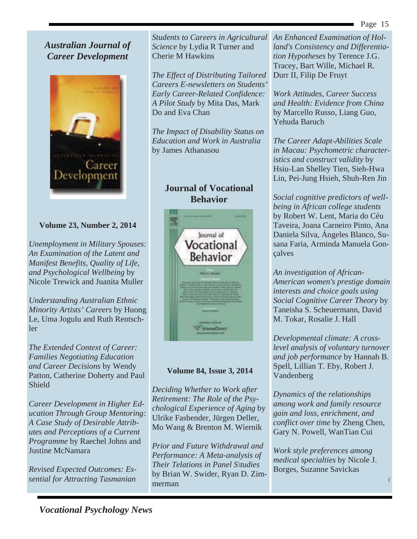# *Australian Journal of Career Development*



## **Volume 23, Number 2, 2014**

*Unemployment in Military Spouses: An Examination of the Latent and Manifest Benefits, Quality of Life, and Psychological Wellbeing* by Nicole Trewick and Juanita Muller

*Understanding Australian Ethnic Minority Artists' Careers* by Huong Le, Uma Jogulu and Ruth Rentschler

*The Extended Context of Career: Families Negotiating Education and Career Decisions* by Wendy Patton, Catherine Doherty and Paul Shield

*Career Development in Higher Education Through Group Mentoring: A Case Study of Desirable Attributes and Perceptions of a Current Programme* by Raechel Johns and Justine McNamara

*Revised Expected Outcomes: Essential for Attracting Tasmanian*  *Students to Careers in Agricultural Science* by Lydia R Turner and Cherie M Hawkins

*The Effect of Distributing Tailored Careers E-newsletters on Students' Early Career-Related Confidence: A Pilot Study* by Mita Das, Mark Do and Eva Chan

*The Impact of Disability Status on Education and Work in Australia*  by James Athanasou

# **Journal of Vocational Behavior**



### **Volume 84, Issue 3, 2014**

*Deciding Whether to Work after Retirement: The Role of the Psychological Experience of Aging* by Ulrike Fasbender, Jürgen Deller, Mo Wang & Brenton M. Wiernik

*Prior and Future Withdrawal and Performance: A Meta-analysis of Their Telations in Panel S\tudies*  by Brian W. Swider, Ryan D. Zimmerman

*An Enhanced Examination of Holland's Consistency and Differentiation Hypotheses* by Terence J.G. Tracey, Bart Wille, Michael R. Durr II, Filip De Fruyt

*Work Attitudes, Career Success and Health: Evidence from China*  by Marcello Russo, Liang Guo, Yehuda Baruch

*The Career Adapt-Abilities Scale in Macau: Psychometric characteristics and construct validity* by Hsiu-Lan Shelley Tien, Sieh-Hwa Lin, Pei-Jung Hsieh, Shuh-Ren Jin

*Social cognitive predictors of wellbeing in African college students* by Robert W. Lent, Maria do Céu Taveira, Joana Carneiro Pinto, Ana Daniela Silva, Ángeles Blanco, Susana Faria, Arminda Manuela Gonçalves

*An investigation of African-American women's prestige domain interests and choice goals using Social Cognitive Career Theory* by Taneisha S. Scheuermann, David M. Tokar, Rosalie J. Hall

*Developmental climate: A crosslevel analysis of voluntary turnover and job performance* by Hannah B. Spell, Lillian T. Eby, Robert J. Vandenberg

*Dynamics of the relationships among work and family resource gain and loss, enrichment, and conflict over time* by Zheng Chen, Gary N. Powell, WanTian Cui

*Work style preferences among medical specialties* by Nicole J. Borges, Suzanne Savickas

*(*